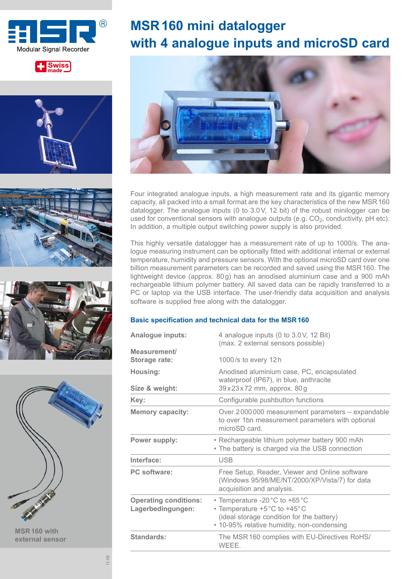











**MSR160 with external sensor**

# **MSR160 mini datalogger with 4 analogue inputs and microSD card**



Four integrated analogue inputs, a high measurement rate and its gigantic memory capacity, all packed into a small format are the key characteristics of the new MSR160 datalogger. The analogue inputs (0 to 3.0V, 12 bit) of the robust minilogger can be used for conventional sensors with analogue outputs (e.g.  $CO<sub>2</sub>$ , conductivity, pH etc). In addition, a multiple output switching power supply is also provided.

This highly versatile datalogger has a measurement rate of up to 1000/s. The analogue measuring instrument can be optionally fitted with additional internal or external temperature, humidity and pressure sensors. With the optional microSD card over one billion measurement parameters can be recorded and saved using the MSR160. The lightweight device (approx. 80g) has an anodised aluminium case and a 900 mAh rechargeable lithium polymer battery. All saved data can be rapidly transferred to a PC or laptop via the USB interface. The user-friendly data acquisition and analysis software is supplied free along with the datalogger.

### **Basic specification and technical data for the MSR160**

| Analogue inputs:                                  | 4 analogue inputs (0 to 3.0V, 12 Bit)<br>(max. 2 external sensors possible)                                                                              |  |  |
|---------------------------------------------------|----------------------------------------------------------------------------------------------------------------------------------------------------------|--|--|
| Measurement/<br>Storage rate:                     | 1000/s to every 12h                                                                                                                                      |  |  |
| Housing:                                          | Anodised aluminium case, PC, encapsulated<br>waterproof (IP67), in blue, anthracite                                                                      |  |  |
| Size & weight:                                    | $39 \times 23 \times 72$ mm, approx. 80 g                                                                                                                |  |  |
| Key:                                              | Configurable pushbutton functions                                                                                                                        |  |  |
| <b>Memory capacity:</b>                           | Over 2000 000 measurement parameters - expandable<br>to over 1bn measurement parameters with optional<br>microSD card.                                   |  |  |
| Power supply:                                     | • Rechargeable lithium polymer battery 900 mAh<br>• The battery is charged via the USB connection                                                        |  |  |
| Interface:                                        | <b>USB</b>                                                                                                                                               |  |  |
| <b>PC</b> software:                               | Free Setup, Reader, Viewer and Online software<br>(Windows 95/98/ME/NT/2000/XP/Vista/7) for data<br>acquisition and analysis.                            |  |  |
| <b>Operating conditions:</b><br>Lagerbedingungen: | • Temperature -20 °C to +65 °C<br>• Temperature +5°C to +45°C<br>(ideal storage condition for the battery)<br>• 10-95% relative humidity, non-condensing |  |  |
| Standards:                                        | The MSR 160 complies with EU-Directives RoHS/<br>WEEE.                                                                                                   |  |  |

11.09